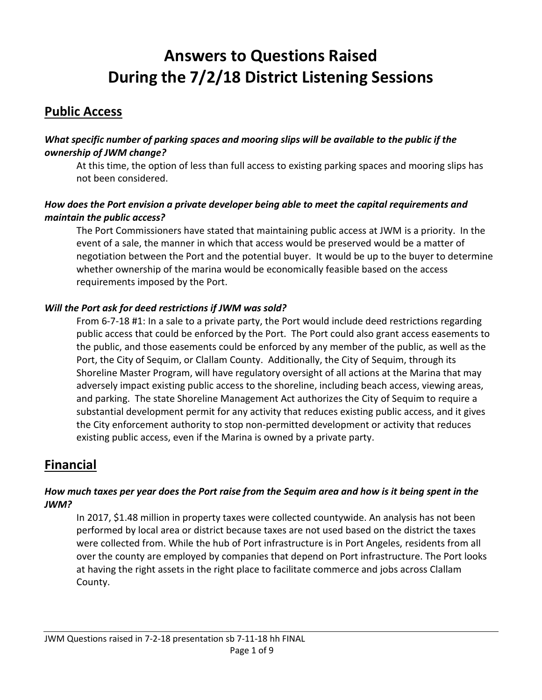# **Answers to Questions Raised During the 7/2/18 District Listening Sessions**

### **Public Access**

#### *What specific number of parking spaces and mooring slips will be available to the public if the ownership of JWM change?*

At this time, the option of less than full access to existing parking spaces and mooring slips has not been considered.

#### *How does the Port envision a private developer being able to meet the capital requirements and maintain the public access?*

The Port Commissioners have stated that maintaining public access at JWM is a priority. In the event of a sale, the manner in which that access would be preserved would be a matter of negotiation between the Port and the potential buyer. It would be up to the buyer to determine whether ownership of the marina would be economically feasible based on the access requirements imposed by the Port.

#### *Will the Port ask for deed restrictions if JWM was sold?*

From 6-7-18 #1: In a sale to a private party, the Port would include deed restrictions regarding public access that could be enforced by the Port. The Port could also grant access easements to the public, and those easements could be enforced by any member of the public, as well as the Port, the City of Sequim, or Clallam County. Additionally, the City of Sequim, through its Shoreline Master Program, will have regulatory oversight of all actions at the Marina that may adversely impact existing public access to the shoreline, including beach access, viewing areas, and parking. The state Shoreline Management Act authorizes the City of Sequim to require a substantial development permit for any activity that reduces existing public access, and it gives the City enforcement authority to stop non-permitted development or activity that reduces existing public access, even if the Marina is owned by a private party.

### **Financial**

#### *How much taxes per year does the Port raise from the Sequim area and how is it being spent in the JWM?*

In 2017, \$1.48 million in property taxes were collected countywide. An analysis has not been performed by local area or district because taxes are not used based on the district the taxes were collected from. While the hub of Port infrastructure is in Port Angeles, residents from all over the county are employed by companies that depend on Port infrastructure. The Port looks at having the right assets in the right place to facilitate commerce and jobs across Clallam County.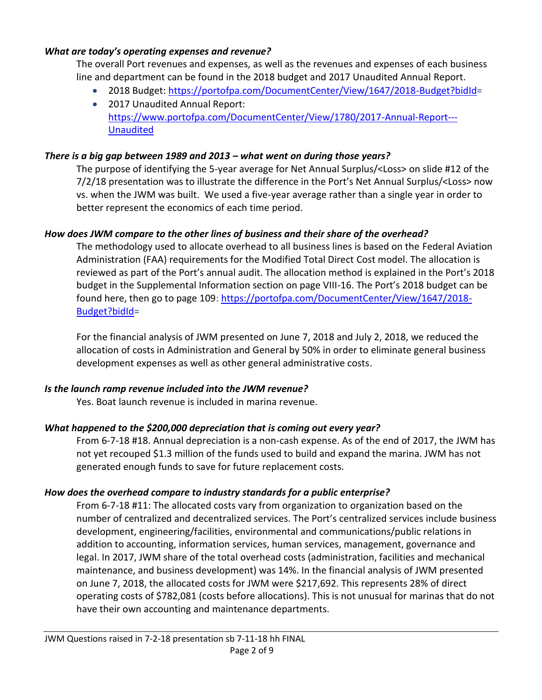#### *What are today's operating expenses and revenue?*

The overall Port revenues and expenses, as well as the revenues and expenses of each business line and department can be found in the 2018 budget and 2017 Unaudited Annual Report.

- 2018 Budget: [https://portofpa.com/DocumentCenter/View/1647/2018-Budget?bidId=](https://portofpa.com/DocumentCenter/View/1647/2018-Budget?bidId)
- 2017 Unaudited Annual Report: [https://www.portofpa.com/DocumentCenter/View/1780/2017-Annual-Report---](https://www.portofpa.com/DocumentCenter/View/1780/2017-Annual-Report---Unaudited) [Unaudited](https://www.portofpa.com/DocumentCenter/View/1780/2017-Annual-Report---Unaudited)

#### *There is a big gap between 1989 and 2013 – what went on during those years?*

The purpose of identifying the 5-year average for Net Annual Surplus/<Loss> on slide #12 of the 7/2/18 presentation was to illustrate the difference in the Port's Net Annual Surplus/<Loss> now vs. when the JWM was built. We used a five-year average rather than a single year in order to better represent the economics of each time period.

#### *How does JWM compare to the other lines of business and their share of the overhead?*

The methodology used to allocate overhead to all business lines is based on the Federal Aviation Administration (FAA) requirements for the Modified Total Direct Cost model. The allocation is reviewed as part of the Port's annual audit. The allocation method is explained in the Port's 2018 budget in the Supplemental Information section on page VIII-16. The Port's 2018 budget can be found here, then go to page 109: [https://portofpa.com/DocumentCenter/View/1647/2018-](https://portofpa.com/DocumentCenter/View/1647/2018-Budget?bidId) [Budget?bidId=](https://portofpa.com/DocumentCenter/View/1647/2018-Budget?bidId)

For the financial analysis of JWM presented on June 7, 2018 and July 2, 2018, we reduced the allocation of costs in Administration and General by 50% in order to eliminate general business development expenses as well as other general administrative costs.

#### *Is the launch ramp revenue included into the JWM revenue?*

Yes. Boat launch revenue is included in marina revenue.

#### *What happened to the \$200,000 depreciation that is coming out every year?*

From 6-7-18 #18. Annual depreciation is a non-cash expense. As of the end of 2017, the JWM has not yet recouped \$1.3 million of the funds used to build and expand the marina. JWM has not generated enough funds to save for future replacement costs.

#### *How does the overhead compare to industry standards for a public enterprise?*

From 6-7-18 #11: The allocated costs vary from organization to organization based on the number of centralized and decentralized services. The Port's centralized services include business development, engineering/facilities, environmental and communications/public relations in addition to accounting, information services, human services, management, governance and legal. In 2017, JWM share of the total overhead costs (administration, facilities and mechanical maintenance, and business development) was 14%. In the financial analysis of JWM presented on June 7, 2018, the allocated costs for JWM were \$217,692. This represents 28% of direct operating costs of \$782,081 (costs before allocations). This is not unusual for marinas that do not have their own accounting and maintenance departments.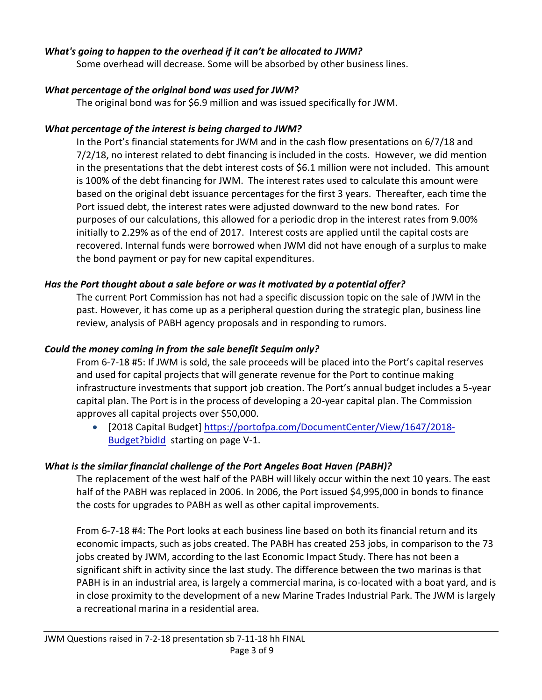#### *What's going to happen to the overhead if it can't be allocated to JWM?*

Some overhead will decrease. Some will be absorbed by other business lines.

#### *What percentage of the original bond was used for JWM?*

The original bond was for \$6.9 million and was issued specifically for JWM.

#### *What percentage of the interest is being charged to JWM?*

In the Port's financial statements for JWM and in the cash flow presentations on 6/7/18 and 7/2/18, no interest related to debt financing is included in the costs. However, we did mention in the presentations that the debt interest costs of \$6.1 million were not included. This amount is 100% of the debt financing for JWM. The interest rates used to calculate this amount were based on the original debt issuance percentages for the first 3 years. Thereafter, each time the Port issued debt, the interest rates were adjusted downward to the new bond rates. For purposes of our calculations, this allowed for a periodic drop in the interest rates from 9.00% initially to 2.29% as of the end of 2017. Interest costs are applied until the capital costs are recovered. Internal funds were borrowed when JWM did not have enough of a surplus to make the bond payment or pay for new capital expenditures.

#### *Has the Port thought about a sale before or was it motivated by a potential offer?*

The current Port Commission has not had a specific discussion topic on the sale of JWM in the past. However, it has come up as a peripheral question during the strategic plan, business line review, analysis of PABH agency proposals and in responding to rumors.

#### *Could the money coming in from the sale benefit Sequim only?*

From 6-7-18 #5: If JWM is sold, the sale proceeds will be placed into the Port's capital reserves and used for capital projects that will generate revenue for the Port to continue making infrastructure investments that support job creation. The Port's annual budget includes a 5-year capital plan. The Port is in the process of developing a 20-year capital plan. The Commission approves all capital projects over \$50,000.

• [2018 Capital Budget] [https://portofpa.com/DocumentCenter/View/1647/2018-](https://portofpa.com/DocumentCenter/View/1647/2018-Budget?bidId) [Budget?bidId](https://portofpa.com/DocumentCenter/View/1647/2018-Budget?bidId) starting on page V-1.

#### *What is the similar financial challenge of the Port Angeles Boat Haven (PABH)?*

The replacement of the west half of the PABH will likely occur within the next 10 years. The east half of the PABH was replaced in 2006. In 2006, the Port issued \$4,995,000 in bonds to finance the costs for upgrades to PABH as well as other capital improvements.

From 6-7-18 #4: The Port looks at each business line based on both its financial return and its economic impacts, such as jobs created. The PABH has created 253 jobs, in comparison to the 73 jobs created by JWM, according to the last Economic Impact Study. There has not been a significant shift in activity since the last study. The difference between the two marinas is that PABH is in an industrial area, is largely a commercial marina, is co-located with a boat yard, and is in close proximity to the development of a new Marine Trades Industrial Park. The JWM is largely a recreational marina in a residential area.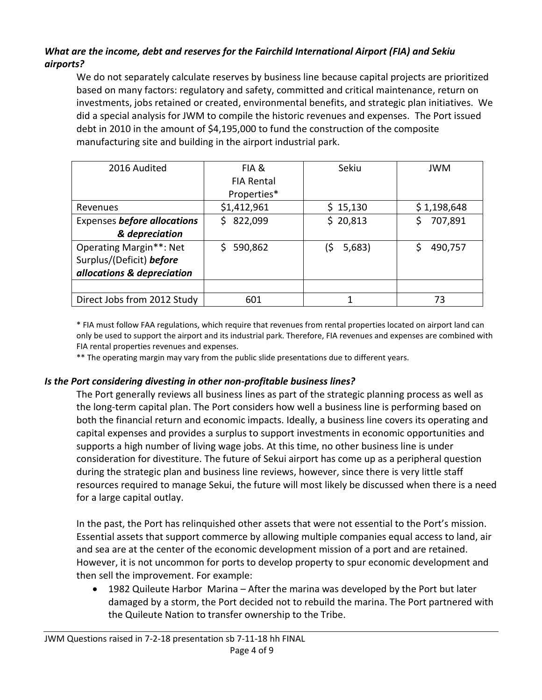#### *What are the income, debt and reserves for the Fairchild International Airport (FIA) and Sekiu airports?*

We do not separately calculate reserves by business line because capital projects are prioritized based on many factors: regulatory and safety, committed and critical maintenance, return on investments, jobs retained or created, environmental benefits, and strategic plan initiatives. We did a special analysis for JWM to compile the historic revenues and expenses. The Port issued debt in 2010 in the amount of \$4,195,000 to fund the construction of the composite manufacturing site and building in the airport industrial park.

| 2016 Audited                | FIA &             | Sekiu         | <b>JWM</b>  |
|-----------------------------|-------------------|---------------|-------------|
|                             | <b>FIA Rental</b> |               |             |
|                             | Properties*       |               |             |
| Revenues                    | \$1,412,961       | \$15,130      | \$1,198,648 |
| Expenses before allocations | 822,099<br>S.     | \$20,813      | 707,891     |
| & depreciation              |                   |               |             |
| Operating Margin**: Net     | 590,862<br>Ś.     | 5,683)<br>(\$ | 490,757     |
| Surplus/(Deficit) before    |                   |               |             |
| allocations & depreciation  |                   |               |             |
|                             |                   |               |             |
| Direct Jobs from 2012 Study | 601               | 1             | 73          |

\* FIA must follow FAA regulations, which require that revenues from rental properties located on airport land can only be used to support the airport and its industrial park. Therefore, FIA revenues and expenses are combined with FIA rental properties revenues and expenses.

\*\* The operating margin may vary from the public slide presentations due to different years.

#### *Is the Port considering divesting in other non-profitable business lines?*

The Port generally reviews all business lines as part of the strategic planning process as well as the long-term capital plan. The Port considers how well a business line is performing based on both the financial return and economic impacts. Ideally, a business line covers its operating and capital expenses and provides a surplus to support investments in economic opportunities and supports a high number of living wage jobs. At this time, no other business line is under consideration for divestiture. The future of Sekui airport has come up as a peripheral question during the strategic plan and business line reviews, however, since there is very little staff resources required to manage Sekui, the future will most likely be discussed when there is a need for a large capital outlay.

In the past, the Port has relinquished other assets that were not essential to the Port's mission. Essential assets that support commerce by allowing multiple companies equal access to land, air and sea are at the center of the economic development mission of a port and are retained. However, it is not uncommon for ports to develop property to spur economic development and then sell the improvement. For example:

 1982 Quileute Harbor Marina – After the marina was developed by the Port but later damaged by a storm, the Port decided not to rebuild the marina. The Port partnered with the Quileute Nation to transfer ownership to the Tribe.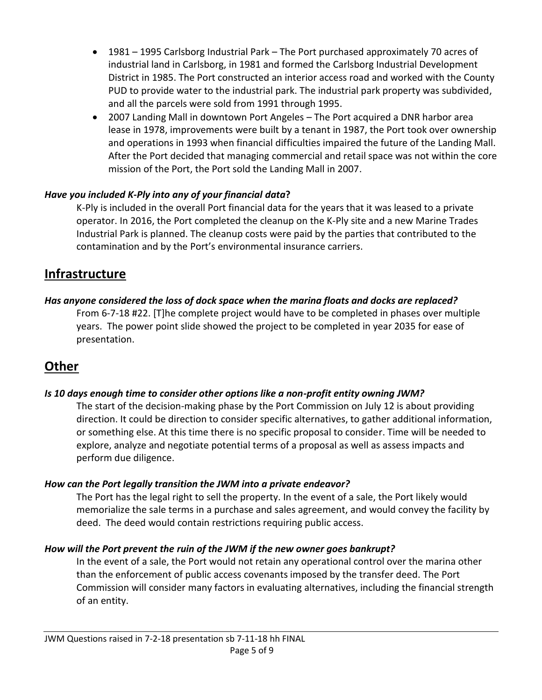- 1981 1995 Carlsborg Industrial Park The Port purchased approximately 70 acres of industrial land in Carlsborg, in 1981 and formed the Carlsborg Industrial Development District in 1985. The Port constructed an interior access road and worked with the County PUD to provide water to the industrial park. The industrial park property was subdivided, and all the parcels were sold from 1991 through 1995.
- 2007 Landing Mall in downtown Port Angeles The Port acquired a DNR harbor area lease in 1978, improvements were built by a tenant in 1987, the Port took over ownership and operations in 1993 when financial difficulties impaired the future of the Landing Mall. After the Port decided that managing commercial and retail space was not within the core mission of the Port, the Port sold the Landing Mall in 2007.

#### *Have you included K-Ply into any of your financial data***?**

K-Ply is included in the overall Port financial data for the years that it was leased to a private operator. In 2016, the Port completed the cleanup on the K-Ply site and a new Marine Trades Industrial Park is planned. The cleanup costs were paid by the parties that contributed to the contamination and by the Port's environmental insurance carriers.

### **Infrastructure**

#### *Has anyone considered the loss of dock space when the marina floats and docks are replaced?*

From 6-7-18 #22. [T]he complete project would have to be completed in phases over multiple years. The power point slide showed the project to be completed in year 2035 for ease of presentation.

### **Other**

#### *Is 10 days enough time to consider other options like a non-profit entity owning JWM?*

The start of the decision-making phase by the Port Commission on July 12 is about providing direction. It could be direction to consider specific alternatives, to gather additional information, or something else. At this time there is no specific proposal to consider. Time will be needed to explore, analyze and negotiate potential terms of a proposal as well as assess impacts and perform due diligence.

#### *How can the Port legally transition the JWM into a private endeavor?*

The Port has the legal right to sell the property. In the event of a sale, the Port likely would memorialize the sale terms in a purchase and sales agreement, and would convey the facility by deed. The deed would contain restrictions requiring public access.

#### *How will the Port prevent the ruin of the JWM if the new owner goes bankrupt?*

In the event of a sale, the Port would not retain any operational control over the marina other than the enforcement of public access covenants imposed by the transfer deed. The Port Commission will consider many factors in evaluating alternatives, including the financial strength of an entity.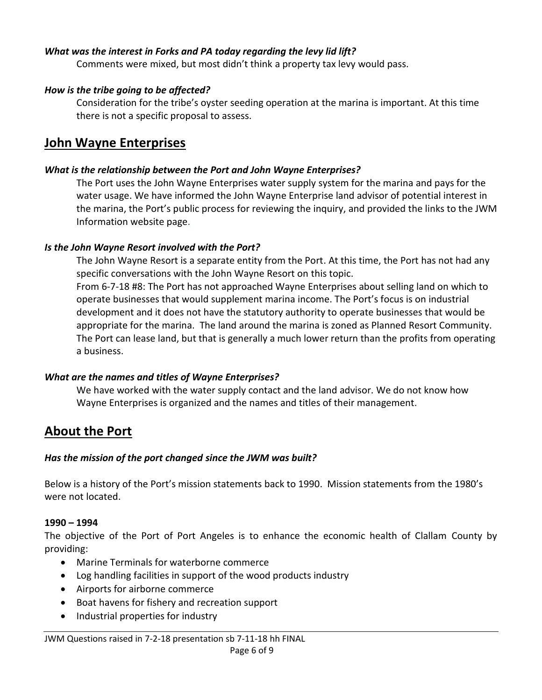#### *What was the interest in Forks and PA today regarding the levy lid lift?*

Comments were mixed, but most didn't think a property tax levy would pass.

#### *How is the tribe going to be affected?*

Consideration for the tribe's oyster seeding operation at the marina is important. At this time there is not a specific proposal to assess.

### **John Wayne Enterprises**

#### *What is the relationship between the Port and John Wayne Enterprises?*

The Port uses the John Wayne Enterprises water supply system for the marina and pays for the water usage. We have informed the John Wayne Enterprise land advisor of potential interest in the marina, the Port's public process for reviewing the inquiry, and provided the links to the JWM Information website page.

#### *Is the John Wayne Resort involved with the Port?*

The John Wayne Resort is a separate entity from the Port. At this time, the Port has not had any specific conversations with the John Wayne Resort on this topic. From 6-7-18 #8: The Port has not approached Wayne Enterprises about selling land on which to operate businesses that would supplement marina income. The Port's focus is on industrial development and it does not have the statutory authority to operate businesses that would be appropriate for the marina. The land around the marina is zoned as Planned Resort Community. The Port can lease land, but that is generally a much lower return than the profits from operating a business.

#### *What are the names and titles of Wayne Enterprises?*

We have worked with the water supply contact and the land advisor. We do not know how Wayne Enterprises is organized and the names and titles of their management.

### **About the Port**

#### *Has the mission of the port changed since the JWM was built?*

Below is a history of the Port's mission statements back to 1990. Mission statements from the 1980's were not located.

#### **1990 – 1994**

The objective of the Port of Port Angeles is to enhance the economic health of Clallam County by providing:

- Marine Terminals for waterborne commerce
- Log handling facilities in support of the wood products industry
- Airports for airborne commerce
- Boat havens for fishery and recreation support
- Industrial properties for industry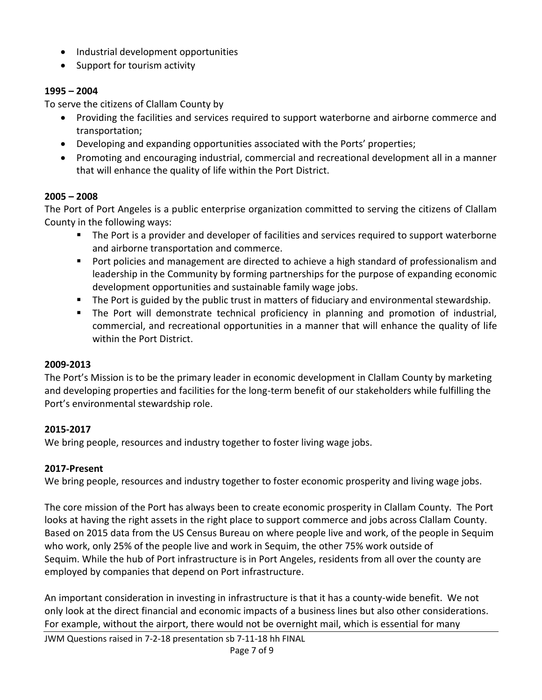- Industrial development opportunities
- Support for tourism activity

#### **1995 – 2004**

To serve the citizens of Clallam County by

- Providing the facilities and services required to support waterborne and airborne commerce and transportation;
- Developing and expanding opportunities associated with the Ports' properties;
- Promoting and encouraging industrial, commercial and recreational development all in a manner that will enhance the quality of life within the Port District.

#### **2005 – 2008**

The Port of Port Angeles is a public enterprise organization committed to serving the citizens of Clallam County in the following ways:

- The Port is a provider and developer of facilities and services required to support waterborne and airborne transportation and commerce.
- **Port policies and management are directed to achieve a high standard of professionalism and** leadership in the Community by forming partnerships for the purpose of expanding economic development opportunities and sustainable family wage jobs.
- The Port is guided by the public trust in matters of fiduciary and environmental stewardship.
- The Port will demonstrate technical proficiency in planning and promotion of industrial, commercial, and recreational opportunities in a manner that will enhance the quality of life within the Port District.

#### **2009-2013**

The Port's Mission is to be the primary leader in economic development in Clallam County by marketing and developing properties and facilities for the long-term benefit of our stakeholders while fulfilling the Port's environmental stewardship role.

#### **2015-2017**

We bring people, resources and industry together to foster living wage jobs.

#### **2017-Present**

We bring people, resources and industry together to foster economic prosperity and living wage jobs.

The core mission of the Port has always been to create economic prosperity in Clallam County. The Port looks at having the right assets in the right place to support commerce and jobs across Clallam County. Based on 2015 data from the US Census Bureau on where people live and work, of the people in Sequim who work, only 25% of the people live and work in Sequim, the other 75% work outside of Sequim. While the hub of Port infrastructure is in Port Angeles, residents from all over the county are employed by companies that depend on Port infrastructure.

An important consideration in investing in infrastructure is that it has a county-wide benefit. We not only look at the direct financial and economic impacts of a business lines but also other considerations. For example, without the airport, there would not be overnight mail, which is essential for many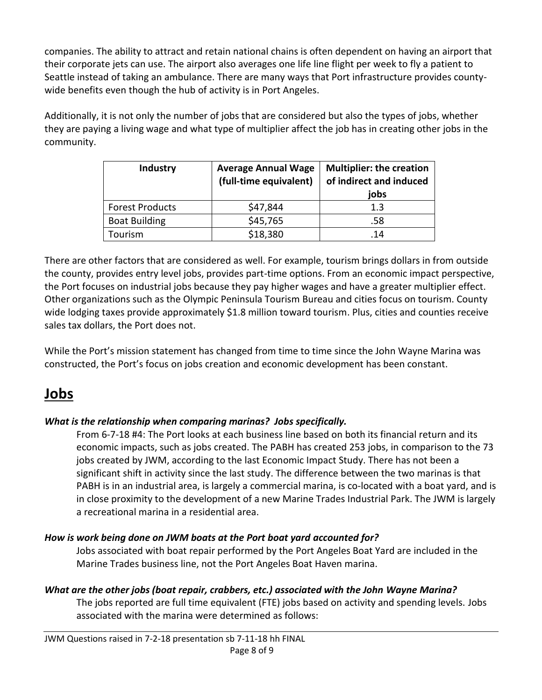companies. The ability to attract and retain national chains is often dependent on having an airport that their corporate jets can use. The airport also averages one life line flight per week to fly a patient to Seattle instead of taking an ambulance. There are many ways that Port infrastructure provides countywide benefits even though the hub of activity is in Port Angeles.

Additionally, it is not only the number of jobs that are considered but also the types of jobs, whether they are paying a living wage and what type of multiplier affect the job has in creating other jobs in the community.

| Industry               | <b>Average Annual Wage</b><br>(full-time equivalent) | <b>Multiplier: the creation</b><br>of indirect and induced<br>jobs |
|------------------------|------------------------------------------------------|--------------------------------------------------------------------|
| <b>Forest Products</b> | \$47,844                                             | 1.3                                                                |
| <b>Boat Building</b>   | \$45,765                                             | .58                                                                |
| Tourism                | \$18,380                                             | .14                                                                |

There are other factors that are considered as well. For example, tourism brings dollars in from outside the county, provides entry level jobs, provides part-time options. From an economic impact perspective, the Port focuses on industrial jobs because they pay higher wages and have a greater multiplier effect. Other organizations such as the Olympic Peninsula Tourism Bureau and cities focus on tourism. County wide lodging taxes provide approximately \$1.8 million toward tourism. Plus, cities and counties receive sales tax dollars, the Port does not.

While the Port's mission statement has changed from time to time since the John Wayne Marina was constructed, the Port's focus on jobs creation and economic development has been constant.

## **Jobs**

#### *What is the relationship when comparing marinas? Jobs specifically.*

From 6-7-18 #4: The Port looks at each business line based on both its financial return and its economic impacts, such as jobs created. The PABH has created 253 jobs, in comparison to the 73 jobs created by JWM, according to the last Economic Impact Study. There has not been a significant shift in activity since the last study. The difference between the two marinas is that PABH is in an industrial area, is largely a commercial marina, is co-located with a boat yard, and is in close proximity to the development of a new Marine Trades Industrial Park. The JWM is largely a recreational marina in a residential area.

#### *How is work being done on JWM boats at the Port boat yard accounted for?*

Jobs associated with boat repair performed by the Port Angeles Boat Yard are included in the Marine Trades business line, not the Port Angeles Boat Haven marina.

#### *What are the other jobs (boat repair, crabbers, etc.) associated with the John Wayne Marina?*

The jobs reported are full time equivalent (FTE) jobs based on activity and spending levels. Jobs associated with the marina were determined as follows: